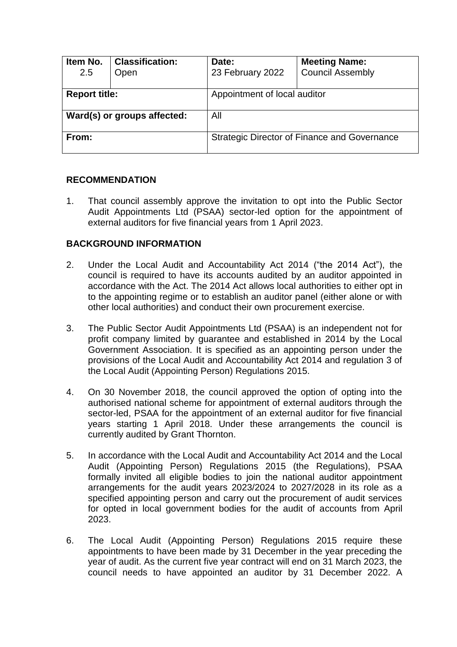| Item No.<br>2.5             | <b>Classification:</b><br>Open | Date:<br>23 February 2022                           | <b>Meeting Name:</b><br><b>Council Assembly</b> |  |
|-----------------------------|--------------------------------|-----------------------------------------------------|-------------------------------------------------|--|
| <b>Report title:</b>        |                                | Appointment of local auditor                        |                                                 |  |
| Ward(s) or groups affected: |                                | All                                                 |                                                 |  |
| From:                       |                                | <b>Strategic Director of Finance and Governance</b> |                                                 |  |

### **RECOMMENDATION**

1. That council assembly approve the invitation to opt into the Public Sector Audit Appointments Ltd (PSAA) sector-led option for the appointment of external auditors for five financial years from 1 April 2023.

### **BACKGROUND INFORMATION**

- 2. Under the Local Audit and Accountability Act 2014 ("the 2014 Act"), the council is required to have its accounts audited by an auditor appointed in accordance with the Act. The 2014 Act allows local authorities to either opt in to the appointing regime or to establish an auditor panel (either alone or with other local authorities) and conduct their own procurement exercise.
- 3. The Public Sector Audit Appointments Ltd (PSAA) is an independent not for profit company limited by guarantee and established in 2014 by the Local Government Association. It is specified as an appointing person under the provisions of the Local Audit and Accountability Act 2014 and regulation 3 of the Local Audit (Appointing Person) Regulations 2015.
- 4. On 30 November 2018, the council approved the option of opting into the authorised national scheme for appointment of external auditors through the sector-led, PSAA for the appointment of an external auditor for five financial years starting 1 April 2018. Under these arrangements the council is currently audited by Grant Thornton.
- 5. In accordance with the Local Audit and Accountability Act 2014 and the Local Audit (Appointing Person) Regulations 2015 (the Regulations), PSAA formally invited all eligible bodies to join the national auditor appointment arrangements for the audit years 2023/2024 to 2027/2028 in its role as a specified appointing person and carry out the procurement of audit services for opted in local government bodies for the audit of accounts from April 2023.
- 6. The Local Audit (Appointing Person) Regulations 2015 require these appointments to have been made by 31 December in the year preceding the year of audit. As the current five year contract will end on 31 March 2023, the council needs to have appointed an auditor by 31 December 2022. A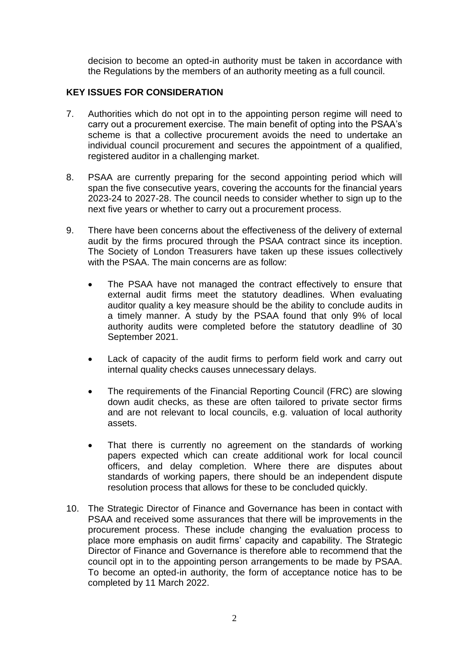decision to become an opted-in authority must be taken in accordance with the Regulations by the members of an authority meeting as a full council.

# **KEY ISSUES FOR CONSIDERATION**

- 7. Authorities which do not opt in to the appointing person regime will need to carry out a procurement exercise. The main benefit of opting into the PSAA's scheme is that a collective procurement avoids the need to undertake an individual council procurement and secures the appointment of a qualified, registered auditor in a challenging market.
- 8. PSAA are currently preparing for the second appointing period which will span the five consecutive years, covering the accounts for the financial years 2023-24 to 2027-28. The council needs to consider whether to sign up to the next five years or whether to carry out a procurement process.
- 9. There have been concerns about the effectiveness of the delivery of external audit by the firms procured through the PSAA contract since its inception. The Society of London Treasurers have taken up these issues collectively with the PSAA. The main concerns are as follow:
	- The PSAA have not managed the contract effectively to ensure that external audit firms meet the statutory deadlines. When evaluating auditor quality a key measure should be the ability to conclude audits in a timely manner. A study by the PSAA found that only 9% of local authority audits were completed before the statutory deadline of 30 September 2021.
	- Lack of capacity of the audit firms to perform field work and carry out internal quality checks causes unnecessary delays.
	- The requirements of the Financial Reporting Council (FRC) are slowing down audit checks, as these are often tailored to private sector firms and are not relevant to local councils, e.g. valuation of local authority assets.
	- That there is currently no agreement on the standards of working papers expected which can create additional work for local council officers, and delay completion. Where there are disputes about standards of working papers, there should be an independent dispute resolution process that allows for these to be concluded quickly.
- 10. The Strategic Director of Finance and Governance has been in contact with PSAA and received some assurances that there will be improvements in the procurement process. These include changing the evaluation process to place more emphasis on audit firms' capacity and capability. The Strategic Director of Finance and Governance is therefore able to recommend that the council opt in to the appointing person arrangements to be made by PSAA. To become an opted-in authority, the form of acceptance notice has to be completed by 11 March 2022.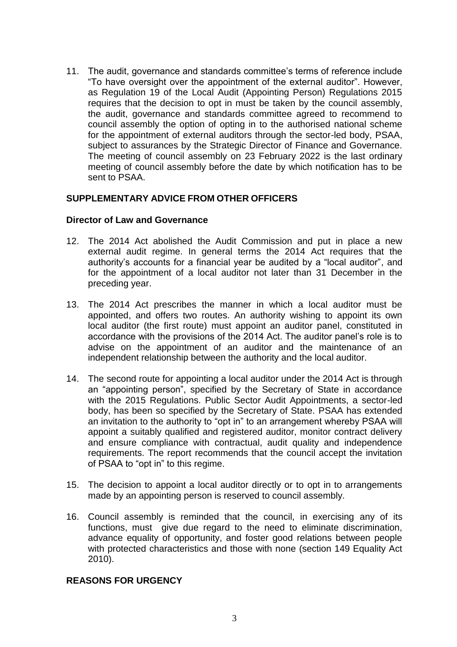11. The audit, governance and standards committee's terms of reference include "To have oversight over the appointment of the external auditor". However, as Regulation 19 of the Local Audit (Appointing Person) Regulations 2015 requires that the decision to opt in must be taken by the council assembly, the audit, governance and standards committee agreed to recommend to council assembly the option of opting in to the authorised national scheme for the appointment of external auditors through the sector-led body, PSAA, subject to assurances by the Strategic Director of Finance and Governance. The meeting of council assembly on 23 February 2022 is the last ordinary meeting of council assembly before the date by which notification has to be sent to PSAA.

### **SUPPLEMENTARY ADVICE FROM OTHER OFFICERS**

#### **Director of Law and Governance**

- 12. The 2014 Act abolished the Audit Commission and put in place a new external audit regime. In general terms the 2014 Act requires that the authority's accounts for a financial year be audited by a "local auditor", and for the appointment of a local auditor not later than 31 December in the preceding year.
- 13. The 2014 Act prescribes the manner in which a local auditor must be appointed, and offers two routes. An authority wishing to appoint its own local auditor (the first route) must appoint an auditor panel, constituted in accordance with the provisions of the 2014 Act. The auditor panel's role is to advise on the appointment of an auditor and the maintenance of an independent relationship between the authority and the local auditor.
- 14. The second route for appointing a local auditor under the 2014 Act is through an "appointing person", specified by the Secretary of State in accordance with the 2015 Regulations. Public Sector Audit Appointments, a sector-led body, has been so specified by the Secretary of State. PSAA has extended an invitation to the authority to "opt in" to an arrangement whereby PSAA will appoint a suitably qualified and registered auditor, monitor contract delivery and ensure compliance with contractual, audit quality and independence requirements. The report recommends that the council accept the invitation of PSAA to "opt in" to this regime.
- 15. The decision to appoint a local auditor directly or to opt in to arrangements made by an appointing person is reserved to council assembly.
- 16. Council assembly is reminded that the council, in exercising any of its functions, must give due regard to the need to eliminate discrimination, advance equality of opportunity, and foster good relations between people with protected characteristics and those with none (section 149 Equality Act 2010).

### **REASONS FOR URGENCY**